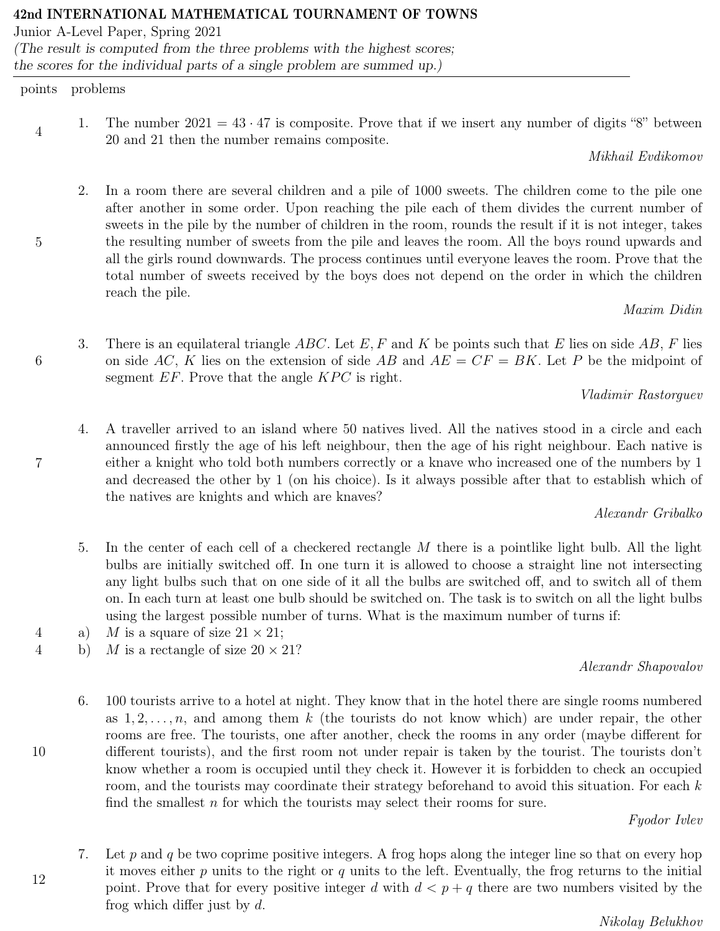# 42nd INTERNATIONAL MATHEMATICAL TOURNAMENT OF TOWNS

Junior A-Level Paper, Spring 2021 (The result is computed from the three problems with the highest scores; the scores for the individual parts of a single problem are summed up.)

# points problems

5

6

7

4 1. The number  $2021 = 43 \cdot 47$  is composite. Prove that if we insert any number of digits "8" between 20 and 21 then the number remains composite.

Mikhail Evdikomov

2. In a room there are several children and a pile of 1000 sweets. The children come to the pile one after another in some order. Upon reaching the pile each of them divides the current number of sweets in the pile by the number of children in the room, rounds the result if it is not integer, takes the resulting number of sweets from the pile and leaves the room. All the boys round upwards and all the girls round downwards. The process continues until everyone leaves the room. Prove that the total number of sweets received by the boys does not depend on the order in which the children reach the pile.

Maxim Didin

3. There is an equilateral triangle ABC. Let E, F and K be points such that E lies on side AB, F lies on side AC, K lies on the extension of side AB and  $AE = CF = BK$ . Let P be the midpoint of segment  $EF$ . Prove that the angle  $KPC$  is right.

Vladimir Rastorguev

4. A traveller arrived to an island where 50 natives lived. All the natives stood in a circle and each announced firstly the age of his left neighbour, then the age of his right neighbour. Each native is either a knight who told both numbers correctly or a knave who increased one of the numbers by 1 and decreased the other by 1 (on his choice). Is it always possible after that to establish which of the natives are knights and which are knaves?

Alexandr Gribalko

- 5. In the center of each cell of a checkered rectangle M there is a pointlike light bulb. All the light bulbs are initially switched off. In one turn it is allowed to choose a straight line not intersecting any light bulbs such that on one side of it all the bulbs are switched off, and to switch all of them on. In each turn at least one bulb should be switched on. The task is to switch on all the light bulbs using the largest possible number of turns. What is the maximum number of turns if:
- 4 a) M is a square of size  $21 \times 21$ ;
- 4 b) M is a rectangle of size  $20 \times 21$ ?

Alexandr Shapovalov

6. 100 tourists arrive to a hotel at night. They know that in the hotel there are single rooms numbered as  $1, 2, \ldots, n$ , and among them k (the tourists do not know which) are under repair, the other rooms are free. The tourists, one after another, check the rooms in any order (maybe different for different tourists), and the first room not under repair is taken by the tourist. The tourists don't know whether a room is occupied until they check it. However it is forbidden to check an occupied room, and the tourists may coordinate their strategy beforehand to avoid this situation. For each  $k$ find the smallest  $n$  for which the tourists may select their rooms for sure.

Fyodor Ivlev

7. Let p and q be two coprime positive integers. A frog hops along the integer line so that on every hop it moves either  $p$  units to the right or  $q$  units to the left. Eventually, the frog returns to the initial point. Prove that for every positive integer d with  $d < p + q$  there are two numbers visited by the frog which differ just by d.

Nikolay Belukhov

12

10